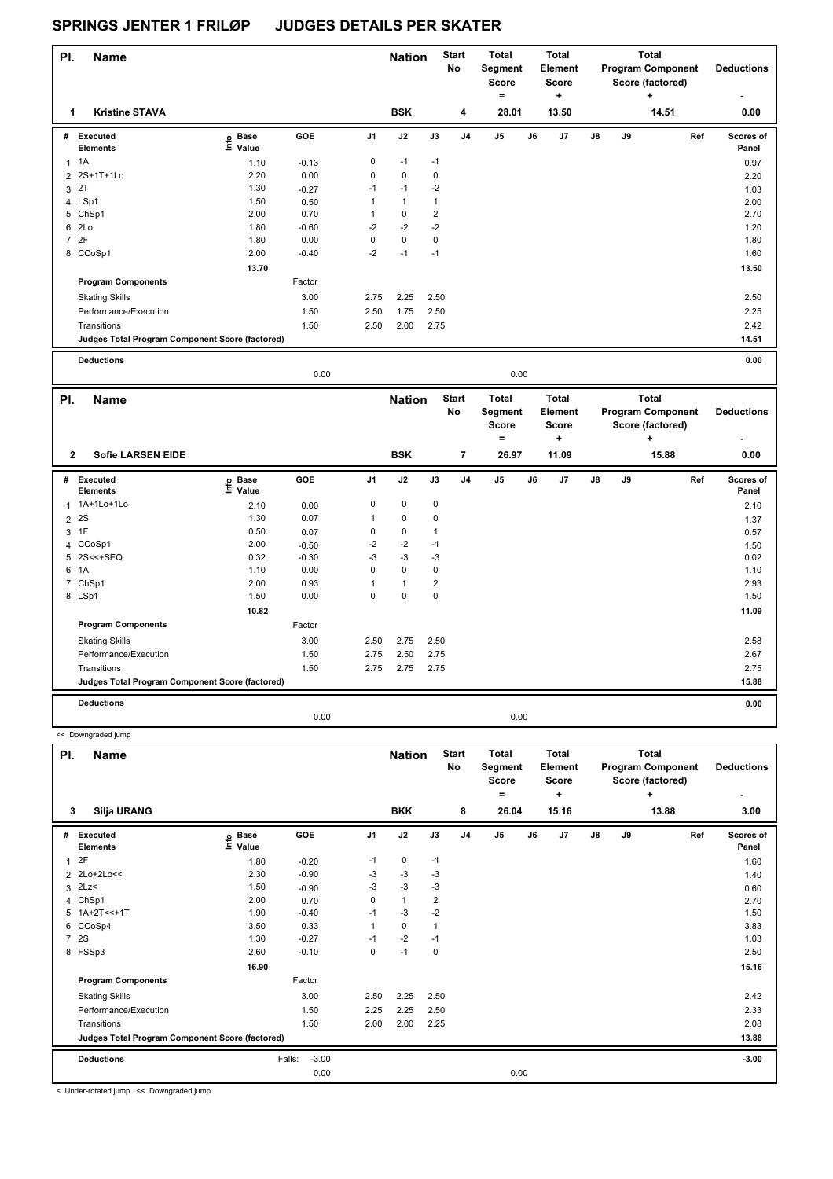| PI.            | <b>Name</b>                                     |                            |         |                | <b>Nation</b> |      | <b>Start</b><br>No | Total<br>Segment<br><b>Score</b><br>٠ |    | <b>Total</b><br>Element<br><b>Score</b><br>٠ |               |    | <b>Total</b><br><b>Program Component</b><br>Score (factored)<br>÷ | <b>Deductions</b>         |
|----------------|-------------------------------------------------|----------------------------|---------|----------------|---------------|------|--------------------|---------------------------------------|----|----------------------------------------------|---------------|----|-------------------------------------------------------------------|---------------------------|
|                | <b>Kristine STAVA</b>                           |                            |         |                | <b>BSK</b>    |      | 4                  | 28.01                                 |    | 13.50                                        |               |    | 14.51                                                             | 0.00                      |
| #              | Executed<br><b>Elements</b>                     | e Base<br>E Value<br>Value | GOE     | J <sub>1</sub> | J2            | J3   | J <sub>4</sub>     | J <sub>5</sub>                        | J6 | J <sub>7</sub>                               | $\mathsf{J}8$ | J9 | Ref                                                               | <b>Scores of</b><br>Panel |
|                | 1A                                              | 1.10                       | $-0.13$ | 0              | $-1$          | $-1$ |                    |                                       |    |                                              |               |    |                                                                   | 0.97                      |
|                | 2 2S+1T+1Lo                                     | 2.20                       | 0.00    | $\pmb{0}$      | $\mathbf 0$   | 0    |                    |                                       |    |                                              |               |    |                                                                   | 2.20                      |
|                | 3 2T                                            | 1.30                       | $-0.27$ | $-1$           | $-1$          | $-2$ |                    |                                       |    |                                              |               |    |                                                                   | 1.03                      |
|                | 4 LSp1                                          | 1.50                       | 0.50    |                | $\mathbf{1}$  |      |                    |                                       |    |                                              |               |    |                                                                   | 2.00                      |
|                | 5 ChSp1                                         | 2.00                       | 0.70    |                | 0             | 2    |                    |                                       |    |                                              |               |    |                                                                   | 2.70                      |
|                | 6 2Lo                                           | 1.80                       | $-0.60$ | $-2$           | $-2$          | $-2$ |                    |                                       |    |                                              |               |    |                                                                   | 1.20                      |
| $\overline{7}$ | 2F                                              | 1.80                       | 0.00    | $\mathbf 0$    | $\pmb{0}$     | 0    |                    |                                       |    |                                              |               |    |                                                                   | 1.80                      |
|                | 8 CCoSp1                                        | 2.00                       | $-0.40$ | $-2$           | $-1$          | $-1$ |                    |                                       |    |                                              |               |    |                                                                   | 1.60                      |
|                |                                                 | 13.70                      |         |                |               |      |                    |                                       |    |                                              |               |    |                                                                   | 13.50                     |
|                | <b>Program Components</b>                       |                            | Factor  |                |               |      |                    |                                       |    |                                              |               |    |                                                                   |                           |
|                | <b>Skating Skills</b>                           |                            | 3.00    | 2.75           | 2.25          | 2.50 |                    |                                       |    |                                              |               |    |                                                                   | 2.50                      |
|                | Performance/Execution                           |                            | 1.50    | 2.50           | 1.75          | 2.50 |                    |                                       |    |                                              |               |    |                                                                   | 2.25                      |
|                | Transitions                                     |                            | 1.50    | 2.50           | 2.00          | 2.75 |                    |                                       |    |                                              |               |    |                                                                   | 2.42                      |
|                | Judges Total Program Component Score (factored) |                            |         |                |               |      |                    |                                       |    |                                              |               |    |                                                                   | 14.51                     |
|                | <b>Deductions</b>                               |                            |         |                |               |      |                    |                                       |    |                                              |               |    |                                                                   | 0.00                      |

|                     |                                                 |                   | 0.00    |                |                             |                |                                             |                                                       | 0.00 |                                                       |    |    |                                                                            |     |                           |
|---------------------|-------------------------------------------------|-------------------|---------|----------------|-----------------------------|----------------|---------------------------------------------|-------------------------------------------------------|------|-------------------------------------------------------|----|----|----------------------------------------------------------------------------|-----|---------------------------|
| PI.<br>$\mathbf{2}$ | <b>Name</b><br><b>Sofie LARSEN EIDE</b>         |                   |         |                | <b>Nation</b><br><b>BSK</b> |                | <b>Start</b><br><b>No</b><br>$\overline{7}$ | <b>Total</b><br>Segment<br><b>Score</b><br>۰<br>26.97 |      | <b>Total</b><br>Element<br><b>Score</b><br>÷<br>11.09 |    |    | <b>Total</b><br><b>Program Component</b><br>Score (factored)<br>+<br>15.88 |     | <b>Deductions</b><br>0.00 |
|                     | # Executed<br><b>Elements</b>                   | e Base<br>⊑ Value | GOE     | J <sub>1</sub> | J2                          | J3             | J <sub>4</sub>                              | J <sub>5</sub>                                        | J6   | J7                                                    | J8 | J9 |                                                                            | Ref | <b>Scores of</b><br>Panel |
|                     | 1 1A+1Lo+1Lo                                    | 2.10              | 0.00    | 0              | $\mathbf 0$                 | $\mathbf 0$    |                                             |                                                       |      |                                                       |    |    |                                                                            |     | 2.10                      |
|                     | 2 2 S                                           | 1.30              | 0.07    | 1              | 0                           | 0              |                                             |                                                       |      |                                                       |    |    |                                                                            |     | 1.37                      |
|                     | $3$ 1F                                          | 0.50              | 0.07    | 0              | $\mathbf 0$                 | 1              |                                             |                                                       |      |                                                       |    |    |                                                                            |     | 0.57                      |
|                     | 4 CCoSp1                                        | 2.00              | $-0.50$ | $-2$           | $-2$                        | $-1$           |                                             |                                                       |      |                                                       |    |    |                                                                            |     | 1.50                      |
|                     | 5 2S<<+SEQ                                      | 0.32              | $-0.30$ | -3             | $-3$                        | $-3$           |                                             |                                                       |      |                                                       |    |    |                                                                            |     | 0.02                      |
| 6                   | 1A                                              | 1.10              | 0.00    | 0              | $\Omega$                    | 0              |                                             |                                                       |      |                                                       |    |    |                                                                            |     | 1.10                      |
| $\overline{7}$      | ChSp1                                           | 2.00              | 0.93    |                | $\overline{1}$              | $\overline{2}$ |                                             |                                                       |      |                                                       |    |    |                                                                            |     | 2.93                      |
|                     | 8 LSp1                                          | 1.50              | 0.00    | 0              | $\mathbf 0$                 | $\mathbf 0$    |                                             |                                                       |      |                                                       |    |    |                                                                            |     | 1.50                      |
|                     |                                                 | 10.82             |         |                |                             |                |                                             |                                                       |      |                                                       |    |    |                                                                            |     | 11.09                     |
|                     | <b>Program Components</b>                       |                   | Factor  |                |                             |                |                                             |                                                       |      |                                                       |    |    |                                                                            |     |                           |
|                     | <b>Skating Skills</b>                           |                   | 3.00    | 2.50           | 2.75                        | 2.50           |                                             |                                                       |      |                                                       |    |    |                                                                            |     | 2.58                      |
|                     | Performance/Execution                           |                   | 1.50    | 2.75           | 2.50                        | 2.75           |                                             |                                                       |      |                                                       |    |    |                                                                            |     | 2.67                      |
|                     | Transitions                                     |                   | 1.50    | 2.75           | 2.75                        | 2.75           |                                             |                                                       |      |                                                       |    |    |                                                                            |     | 2.75                      |
|                     | Judges Total Program Component Score (factored) |                   |         |                |                             |                |                                             |                                                       |      |                                                       |    |    |                                                                            |     | 15.88                     |
|                     | <b>Deductions</b>                               |                   |         |                |                             |                |                                             |                                                       |      |                                                       |    |    |                                                                            |     | 0.00                      |
|                     |                                                 |                   | 0.00    |                |                             |                |                                             |                                                       | 0.00 |                                                       |    |    |                                                                            |     |                           |

| PI.            | <b>Name</b>                                     |                            |                   |                | <b>Nation</b> |                | <b>Start</b><br>No | <b>Total</b><br>Segment<br><b>Score</b><br>۰ |    | <b>Total</b><br>Element<br><b>Score</b><br>٠ |               |    | <b>Total</b><br><b>Program Component</b><br>Score (factored)<br>÷ | <b>Deductions</b>  |
|----------------|-------------------------------------------------|----------------------------|-------------------|----------------|---------------|----------------|--------------------|----------------------------------------------|----|----------------------------------------------|---------------|----|-------------------------------------------------------------------|--------------------|
| 3              | <b>Silja URANG</b>                              |                            |                   |                | <b>BKK</b>    |                | 8                  | 26.04                                        |    | 15.16                                        |               |    | 13.88                                                             | 3.00               |
| #              | Executed<br><b>Elements</b>                     | e Base<br>⊆ Value<br>Value | <b>GOE</b>        | J <sub>1</sub> | J2            | J3             | J <sub>4</sub>     | J <sub>5</sub>                               | J6 | J7                                           | $\mathsf{J}8$ | J9 | Ref                                                               | Scores of<br>Panel |
| 1              | 2F                                              | 1.80                       | $-0.20$           | $-1$           | 0             | $-1$           |                    |                                              |    |                                              |               |    |                                                                   | 1.60               |
|                | 2 2Lo+2Lo<<                                     | 2.30                       | $-0.90$           | -3             | $-3$          | $-3$           |                    |                                              |    |                                              |               |    |                                                                   | 1.40               |
| 3              | 2Lz                                             | 1.50                       | $-0.90$           | -3             | $-3$          | $-3$           |                    |                                              |    |                                              |               |    |                                                                   | 0.60               |
| $\overline{4}$ | ChSp1                                           | 2.00                       | 0.70              | 0              | $\mathbf{1}$  | $\overline{2}$ |                    |                                              |    |                                              |               |    |                                                                   | 2.70               |
|                | $5 1A+2T<<+1T$                                  | 1.90                       | $-0.40$           | $-1$           | $-3$          | $-2$           |                    |                                              |    |                                              |               |    |                                                                   | 1.50               |
| 6              | CCoSp4                                          | 3.50                       | 0.33              | $\mathbf{1}$   | $\mathbf 0$   | $\overline{1}$ |                    |                                              |    |                                              |               |    |                                                                   | 3.83               |
| $\overline{7}$ | 2S                                              | 1.30                       | $-0.27$           | $-1$           | $-2$          | $-1$           |                    |                                              |    |                                              |               |    |                                                                   | 1.03               |
| 8              | FSSp3                                           | 2.60                       | $-0.10$           | 0              | $-1$          | 0              |                    |                                              |    |                                              |               |    |                                                                   | 2.50               |
|                |                                                 | 16.90                      |                   |                |               |                |                    |                                              |    |                                              |               |    |                                                                   | 15.16              |
|                | <b>Program Components</b>                       |                            | Factor            |                |               |                |                    |                                              |    |                                              |               |    |                                                                   |                    |
|                | <b>Skating Skills</b>                           |                            | 3.00              | 2.50           | 2.25          | 2.50           |                    |                                              |    |                                              |               |    |                                                                   | 2.42               |
|                | Performance/Execution                           |                            | 1.50              | 2.25           | 2.25          | 2.50           |                    |                                              |    |                                              |               |    |                                                                   | 2.33               |
|                | Transitions                                     |                            | 1.50              | 2.00           | 2.00          | 2.25           |                    |                                              |    |                                              |               |    |                                                                   | 2.08               |
|                | Judges Total Program Component Score (factored) |                            |                   |                |               |                |                    |                                              |    |                                              |               |    |                                                                   | 13.88              |
|                | <b>Deductions</b>                               |                            | $-3.00$<br>Falls: |                |               |                |                    |                                              |    |                                              |               |    |                                                                   | $-3.00$            |
|                |                                                 |                            | 0.00              |                |               |                |                    | 0.00                                         |    |                                              |               |    |                                                                   |                    |

< Under-rotated jump << Downgraded jump

<< Downgraded jump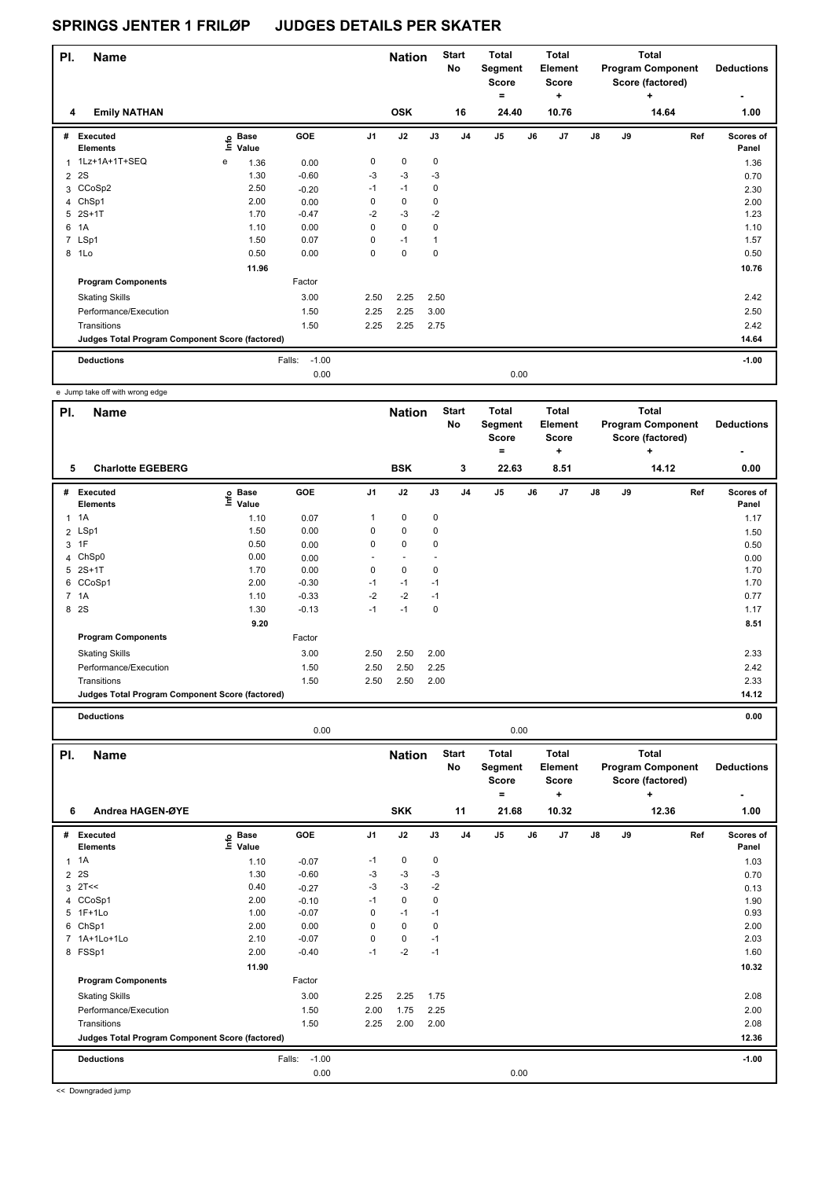| PI.            | <b>Name</b>                                     |                |                      |                   |             | <b>Nation</b> |              | <b>Start</b><br>No | <b>Total</b><br>Segment<br><b>Score</b><br>۰ |      | <b>Total</b><br>Element<br><b>Score</b><br>٠ |               |    | <b>Total</b><br><b>Program Component</b><br>Score (factored)<br>÷ | <b>Deductions</b><br>۰ |
|----------------|-------------------------------------------------|----------------|----------------------|-------------------|-------------|---------------|--------------|--------------------|----------------------------------------------|------|----------------------------------------------|---------------|----|-------------------------------------------------------------------|------------------------|
| 4              | <b>Emily NATHAN</b>                             |                |                      |                   |             | <b>OSK</b>    |              | 16                 | 24.40                                        |      | 10.76                                        |               |    | 14.64                                                             | 1.00                   |
| #              | Executed<br><b>Elements</b>                     | $\bullet$<br>Ξ | <b>Base</b><br>Value | GOE               | J1          | J2            | J3           | J <sub>4</sub>     | J <sub>5</sub>                               | J6   | J <sub>7</sub>                               | $\mathsf{J}8$ | J9 | Ref                                                               | Scores of<br>Panel     |
| 1              | 1Lz+1A+1T+SEQ                                   | e              | 1.36                 | 0.00              | 0           | $\pmb{0}$     | 0            |                    |                                              |      |                                              |               |    |                                                                   | 1.36                   |
| $\overline{2}$ | 2S                                              |                | 1.30                 | $-0.60$           | $-3$        | $-3$          | $-3$         |                    |                                              |      |                                              |               |    |                                                                   | 0.70                   |
|                | 3 CCoSp2                                        |                | 2.50                 | $-0.20$           | $-1$        | $-1$          | 0            |                    |                                              |      |                                              |               |    |                                                                   | 2.30                   |
|                | 4 ChSp1                                         |                | 2.00                 | 0.00              | 0           | $\pmb{0}$     | 0            |                    |                                              |      |                                              |               |    |                                                                   | 2.00                   |
|                | 5 2S+1T                                         |                | 1.70                 | $-0.47$           | $-2$        | $-3$          | $-2$         |                    |                                              |      |                                              |               |    |                                                                   | 1.23                   |
| 6              | 1A                                              |                | 1.10                 | 0.00              | $\mathbf 0$ | $\mathbf 0$   | $\mathbf 0$  |                    |                                              |      |                                              |               |    |                                                                   | 1.10                   |
|                | 7 LSp1                                          |                | 1.50                 | 0.07              | 0           | $-1$          | $\mathbf{1}$ |                    |                                              |      |                                              |               |    |                                                                   | 1.57                   |
| 8              | 1Lo                                             |                | 0.50                 | 0.00              | $\Omega$    | $\Omega$      | $\Omega$     |                    |                                              |      |                                              |               |    |                                                                   | 0.50                   |
|                |                                                 |                | 11.96                |                   |             |               |              |                    |                                              |      |                                              |               |    |                                                                   | 10.76                  |
|                | <b>Program Components</b>                       |                |                      | Factor            |             |               |              |                    |                                              |      |                                              |               |    |                                                                   |                        |
|                | <b>Skating Skills</b>                           |                |                      | 3.00              | 2.50        | 2.25          | 2.50         |                    |                                              |      |                                              |               |    |                                                                   | 2.42                   |
|                | Performance/Execution                           |                |                      | 1.50              | 2.25        | 2.25          | 3.00         |                    |                                              |      |                                              |               |    |                                                                   | 2.50                   |
|                | Transitions                                     |                |                      | 1.50              | 2.25        | 2.25          | 2.75         |                    |                                              |      |                                              |               |    |                                                                   | 2.42                   |
|                | Judges Total Program Component Score (factored) |                |                      |                   |             |               |              |                    |                                              |      |                                              |               |    |                                                                   | 14.64                  |
|                | <b>Deductions</b>                               |                |                      | $-1.00$<br>Falls: |             |               |              |                    |                                              |      |                                              |               |    |                                                                   | $-1.00$                |
|                |                                                 |                |                      | 0.00              |             |               |              |                    |                                              | 0.00 |                                              |               |    |                                                                   |                        |

e Jump take off with wrong edge

| PI.          | <b>Name</b>                                     |                   |         |                | <b>Nation</b>            |             | <b>Start</b><br>No | <b>Total</b><br>Segment<br><b>Score</b><br>٠ |    | <b>Total</b><br>Element<br><b>Score</b><br>٠ |               |    | Total<br><b>Program Component</b><br>Score (factored)<br>٠ | <b>Deductions</b><br>٠    |
|--------------|-------------------------------------------------|-------------------|---------|----------------|--------------------------|-------------|--------------------|----------------------------------------------|----|----------------------------------------------|---------------|----|------------------------------------------------------------|---------------------------|
| 5            | <b>Charlotte EGEBERG</b>                        |                   |         |                | <b>BSK</b>               |             | 3                  | 22.63                                        |    | 8.51                                         |               |    | 14.12                                                      | 0.00                      |
| #            | Executed<br><b>Elements</b>                     | e Base<br>E Value | GOE     | J <sub>1</sub> | J2                       | J3          | J <sub>4</sub>     | J <sub>5</sub>                               | J6 | J7                                           | $\mathsf{J}8$ | J9 | Ref                                                        | <b>Scores of</b><br>Panel |
| $\mathbf{1}$ | 1A                                              | 1.10              | 0.07    | 1              | $\mathbf 0$              | $\mathbf 0$ |                    |                                              |    |                                              |               |    |                                                            | 1.17                      |
|              | 2 LSp1                                          | 1.50              | 0.00    | 0              | $\mathbf 0$              | 0           |                    |                                              |    |                                              |               |    |                                                            | 1.50                      |
|              | 3 1F                                            | 0.50              | 0.00    | 0              | $\mathbf 0$              | 0           |                    |                                              |    |                                              |               |    |                                                            | 0.50                      |
|              | 4 ChSp0                                         | 0.00              | 0.00    | ٠              | $\overline{\phantom{a}}$ |             |                    |                                              |    |                                              |               |    |                                                            | 0.00                      |
|              | 5 2S+1T                                         | 1.70              | 0.00    | 0              | $\mathbf 0$              | 0           |                    |                                              |    |                                              |               |    |                                                            | 1.70                      |
|              | 6 CCoSp1                                        | 2.00              | $-0.30$ | $-1$           | $-1$                     | $-1$        |                    |                                              |    |                                              |               |    |                                                            | 1.70                      |
|              | 7 1A                                            | 1.10              | $-0.33$ | $-2$           | $-2$                     | $-1$        |                    |                                              |    |                                              |               |    |                                                            | 0.77                      |
|              | 8 2S                                            | 1.30              | $-0.13$ | $-1$           | $-1$                     | 0           |                    |                                              |    |                                              |               |    |                                                            | 1.17                      |
|              |                                                 | 9.20              |         |                |                          |             |                    |                                              |    |                                              |               |    |                                                            | 8.51                      |
|              | <b>Program Components</b>                       |                   | Factor  |                |                          |             |                    |                                              |    |                                              |               |    |                                                            |                           |
|              | <b>Skating Skills</b>                           |                   | 3.00    | 2.50           | 2.50                     | 2.00        |                    |                                              |    |                                              |               |    |                                                            | 2.33                      |
|              | Performance/Execution                           |                   | 1.50    | 2.50           | 2.50                     | 2.25        |                    |                                              |    |                                              |               |    |                                                            | 2.42                      |
|              | Transitions                                     |                   | 1.50    | 2.50           | 2.50                     | 2.00        |                    |                                              |    |                                              |               |    |                                                            | 2.33                      |
|              | Judges Total Program Component Score (factored) |                   |         |                |                          |             |                    |                                              |    |                                              |               |    |                                                            | 14.12                     |
|              | <b>Deductions</b>                               |                   |         |                |                          |             |                    |                                              |    |                                              |               |    |                                                            | 0.00                      |

0.00 0.00

**Name Deductions - Nation** Start Total **Segment Score = Total Element Score + Total Program Component Score (factored) + PI.** Name **Start PI.** Nation Start **No # Executed Elements Base Value GOE J1 J2 J3 J4 J5 J6 J7 J8 J9 Scores of Panel** 1 1A 1 1.10 -0.07 -1 0 0 **Ref**  1A 1.03 **Info 6 Andrea HAGEN-ØYE SKK 11 21.68 10.32 12.36 1.00**  $2 \quad 2S$  2S 2.30  $1.30$   $-0.60$   $-3$   $-3$   $-3$  $3 \times 7 <<$  0.40  $-0.27$   $-3$   $-3$   $-2$  0.13 4 CCoSp1 2.00 -0.10 -1 0 0 1.90 5 1F+1Lo 1.00 -0.07 0 -1 -1 0.93 6 ChSp1 2.00 0.00 0 0 0 2.00 7 1A+1Lo+1Lo 2.10 -0.07 0 0 -1 2.03 8 FSSp1 2.00 -0.40 -1 -2 -1 1.60  **11.90 10.32 Program Components**  Skating Skills 2.25 2.25 1.75 Factor 3.00 2.25 2.25 1.75 2.08 Performance/Execution 1.50 2.00 1.75 2.25 Transitions 1.50 2.25 2.00 2.00 2.08 **Deductions** Falls: -1.00 **-1.00 Judges Total Program Component Score (factored) 12.36** 0.00 0.00

<< Downgraded jump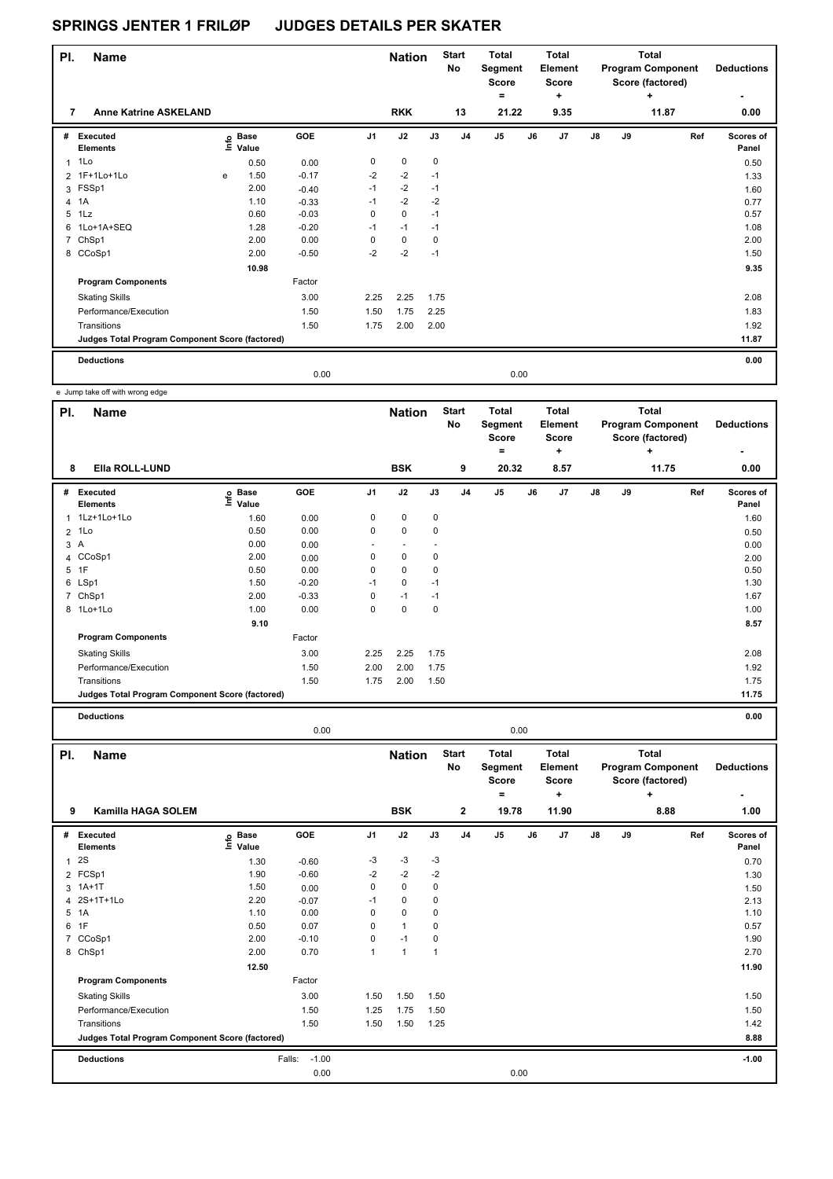| PI. | <b>Name</b>                                     |   |                                  |         |                | <b>Nation</b> |      | <b>Start</b><br>No | <b>Total</b><br>Segment<br><b>Score</b><br>۰ |      | Total<br>Element<br>Score<br>÷ |               |    | Total<br><b>Program Component</b><br>Score (factored)<br>÷ | <b>Deductions</b>  |
|-----|-------------------------------------------------|---|----------------------------------|---------|----------------|---------------|------|--------------------|----------------------------------------------|------|--------------------------------|---------------|----|------------------------------------------------------------|--------------------|
| 7   | <b>Anne Katrine ASKELAND</b>                    |   |                                  |         |                | <b>RKK</b>    |      | 13                 | 21.22                                        |      | 9.35                           |               |    | 11.87                                                      | 0.00               |
| #   | Executed<br><b>Elements</b>                     |   | <b>Base</b><br>e Base<br>E Value | GOE     | J <sub>1</sub> | J2            | J3   | J <sub>4</sub>     | J <sub>5</sub>                               | J6   | J7                             | $\mathsf{J}8$ | J9 | Ref                                                        | Scores of<br>Panel |
| 1   | 1Lo                                             |   | 0.50                             | 0.00    | 0              | 0             | 0    |                    |                                              |      |                                |               |    |                                                            | 0.50               |
|     | 2 1F+1Lo+1Lo                                    | е | 1.50                             | $-0.17$ | $-2$           | $-2$          | $-1$ |                    |                                              |      |                                |               |    |                                                            | 1.33               |
|     | 3 FSSp1                                         |   | 2.00                             | $-0.40$ | $-1$           | $-2$          | $-1$ |                    |                                              |      |                                |               |    |                                                            | 1.60               |
| 4   | 1A                                              |   | 1.10                             | $-0.33$ | $-1$           | $-2$          | $-2$ |                    |                                              |      |                                |               |    |                                                            | 0.77               |
| 5   | 1Lz                                             |   | 0.60                             | $-0.03$ | $\mathbf 0$    | $\mathbf 0$   | $-1$ |                    |                                              |      |                                |               |    |                                                            | 0.57               |
| 6   | 1Lo+1A+SEQ                                      |   | 1.28                             | $-0.20$ | $-1$           | $-1$          | $-1$ |                    |                                              |      |                                |               |    |                                                            | 1.08               |
|     | 7 ChSp1                                         |   | 2.00                             | 0.00    | 0              | $\mathbf 0$   | 0    |                    |                                              |      |                                |               |    |                                                            | 2.00               |
|     | 8 CCoSp1                                        |   | 2.00                             | $-0.50$ | $-2$           | $-2$          | $-1$ |                    |                                              |      |                                |               |    |                                                            | 1.50               |
|     |                                                 |   | 10.98                            |         |                |               |      |                    |                                              |      |                                |               |    |                                                            | 9.35               |
|     | <b>Program Components</b>                       |   |                                  | Factor  |                |               |      |                    |                                              |      |                                |               |    |                                                            |                    |
|     | <b>Skating Skills</b>                           |   |                                  | 3.00    | 2.25           | 2.25          | 1.75 |                    |                                              |      |                                |               |    |                                                            | 2.08               |
|     | Performance/Execution                           |   |                                  | 1.50    | 1.50           | 1.75          | 2.25 |                    |                                              |      |                                |               |    |                                                            | 1.83               |
|     | Transitions                                     |   |                                  | 1.50    | 1.75           | 2.00          | 2.00 |                    |                                              |      |                                |               |    |                                                            | 1.92               |
|     | Judges Total Program Component Score (factored) |   |                                  |         |                |               |      |                    |                                              |      |                                |               |    |                                                            | 11.87              |
|     | <b>Deductions</b>                               |   |                                  |         |                |               |      |                    |                                              |      |                                |               |    |                                                            | 0.00               |
|     |                                                 |   |                                  | 0.00    |                |               |      |                    |                                              | 0.00 |                                |               |    |                                                            |                    |

e Jump take off with wrong edge

| PI.            | <b>Name</b>                                     |                            |         |                          | <b>Nation</b> |      | <b>Start</b><br>No | <b>Total</b><br>Segment<br><b>Score</b><br>٠ |    | <b>Total</b><br>Element<br><b>Score</b><br>٠ |               |    | <b>Total</b><br><b>Program Component</b><br>Score (factored)<br>$\ddot{}$ | <b>Deductions</b>  |
|----------------|-------------------------------------------------|----------------------------|---------|--------------------------|---------------|------|--------------------|----------------------------------------------|----|----------------------------------------------|---------------|----|---------------------------------------------------------------------------|--------------------|
| 8              | Ella ROLL-LUND                                  |                            |         |                          | <b>BSK</b>    |      | 9                  | 20.32                                        |    | 8.57                                         |               |    | 11.75                                                                     | 0.00               |
| #              | Executed<br><b>Elements</b>                     | e Base<br>E Value<br>Value | GOE     | J <sub>1</sub>           | J2            | J3   | J <sub>4</sub>     | J <sub>5</sub>                               | J6 | J7                                           | $\mathsf{J}8$ | J9 | Ref                                                                       | Scores of<br>Panel |
| $\mathbf{1}$   | 1Lz+1Lo+1Lo                                     | 1.60                       | 0.00    | 0                        | 0             | 0    |                    |                                              |    |                                              |               |    |                                                                           | 1.60               |
| $\overline{2}$ | 1Lo                                             | 0.50                       | 0.00    | $\mathbf 0$              | $\mathbf 0$   | 0    |                    |                                              |    |                                              |               |    |                                                                           | 0.50               |
| 3A             |                                                 | 0.00                       | 0.00    | $\overline{\phantom{0}}$ |               |      |                    |                                              |    |                                              |               |    |                                                                           | 0.00               |
|                | 4 CCoSp1                                        | 2.00                       | 0.00    | 0                        | $\mathbf 0$   | 0    |                    |                                              |    |                                              |               |    |                                                                           | 2.00               |
|                | 5 1F                                            | 0.50                       | 0.00    | 0                        | $\mathbf 0$   | 0    |                    |                                              |    |                                              |               |    |                                                                           | 0.50               |
|                | 6 LSp1                                          | 1.50                       | $-0.20$ | $-1$                     | $\mathbf 0$   | $-1$ |                    |                                              |    |                                              |               |    |                                                                           | 1.30               |
|                | 7 ChSp1                                         | 2.00                       | $-0.33$ | 0                        | $-1$          | $-1$ |                    |                                              |    |                                              |               |    |                                                                           | 1.67               |
|                | 8 1Lo+1Lo                                       | 1.00                       | 0.00    | 0                        | $\mathbf 0$   | 0    |                    |                                              |    |                                              |               |    |                                                                           | 1.00               |
|                |                                                 | 9.10                       |         |                          |               |      |                    |                                              |    |                                              |               |    |                                                                           | 8.57               |
|                | <b>Program Components</b>                       |                            | Factor  |                          |               |      |                    |                                              |    |                                              |               |    |                                                                           |                    |
|                | <b>Skating Skills</b>                           |                            | 3.00    | 2.25                     | 2.25          | 1.75 |                    |                                              |    |                                              |               |    |                                                                           | 2.08               |
|                | Performance/Execution                           |                            | 1.50    | 2.00                     | 2.00          | 1.75 |                    |                                              |    |                                              |               |    |                                                                           | 1.92               |
|                | Transitions                                     |                            | 1.50    | 1.75                     | 2.00          | 1.50 |                    |                                              |    |                                              |               |    |                                                                           | 1.75               |
|                | Judges Total Program Component Score (factored) |                            |         |                          |               |      |                    |                                              |    |                                              |               |    |                                                                           | 11.75              |
|                | <b>Deductions</b>                               |                            |         |                          |               |      |                    |                                              |    |                                              |               |    |                                                                           | 0.00               |

0.00 0.00

| PI.          | <b>Name</b>                                     |                            |                   |                | <b>Nation</b>  |      | <b>Start</b><br>No | <b>Total</b><br>Segment<br><b>Score</b> |    | <b>Total</b><br>Element<br><b>Score</b> |               |    | <b>Total</b><br><b>Program Component</b><br>Score (factored) | <b>Deductions</b>  |
|--------------|-------------------------------------------------|----------------------------|-------------------|----------------|----------------|------|--------------------|-----------------------------------------|----|-----------------------------------------|---------------|----|--------------------------------------------------------------|--------------------|
|              |                                                 |                            |                   |                |                |      |                    | ۰                                       |    | ÷                                       |               |    | ÷                                                            |                    |
| 9            | Kamilla HAGA SOLEM                              |                            |                   |                | <b>BSK</b>     |      | $\mathbf{2}$       | 19.78                                   |    | 11.90                                   |               |    | 8.88                                                         | 1.00               |
| #            | Executed<br><b>Elements</b>                     | e Base<br>⊑ Value<br>Value | GOE               | J <sub>1</sub> | J2             | J3   | J <sub>4</sub>     | J <sub>5</sub>                          | J6 | J7                                      | $\mathsf{J}8$ | J9 | Ref                                                          | Scores of<br>Panel |
| $\mathbf{1}$ | 2S                                              | 1.30                       | $-0.60$           | -3             | $-3$           | -3   |                    |                                         |    |                                         |               |    |                                                              | 0.70               |
|              | 2 FCSp1                                         | 1.90                       | $-0.60$           | $-2$           | $-2$           | $-2$ |                    |                                         |    |                                         |               |    |                                                              | 1.30               |
| 3            | $1A+1T$                                         | 1.50                       | 0.00              | 0              | $\mathbf 0$    | 0    |                    |                                         |    |                                         |               |    |                                                              | 1.50               |
|              | 4 2S+1T+1Lo                                     | 2.20                       | $-0.07$           | $-1$           | 0              | 0    |                    |                                         |    |                                         |               |    |                                                              | 2.13               |
|              | 5 1A                                            | 1.10                       | 0.00              | 0              | $\mathbf 0$    | 0    |                    |                                         |    |                                         |               |    |                                                              | 1.10               |
|              | 6 1F                                            | 0.50                       | 0.07              | 0              | $\mathbf{1}$   | 0    |                    |                                         |    |                                         |               |    |                                                              | 0.57               |
| 7            | CCoSp1                                          | 2.00                       | $-0.10$           | 0              | $-1$           | 0    |                    |                                         |    |                                         |               |    |                                                              | 1.90               |
| 8            | ChSp1                                           | 2.00                       | 0.70              | 1              | $\overline{1}$ | 1    |                    |                                         |    |                                         |               |    |                                                              | 2.70               |
|              |                                                 | 12.50                      |                   |                |                |      |                    |                                         |    |                                         |               |    |                                                              | 11.90              |
|              | <b>Program Components</b>                       |                            | Factor            |                |                |      |                    |                                         |    |                                         |               |    |                                                              |                    |
|              | <b>Skating Skills</b>                           |                            | 3.00              | 1.50           | 1.50           | 1.50 |                    |                                         |    |                                         |               |    |                                                              | 1.50               |
|              | Performance/Execution                           |                            | 1.50              | 1.25           | 1.75           | 1.50 |                    |                                         |    |                                         |               |    |                                                              | 1.50               |
|              | Transitions                                     |                            | 1.50              | 1.50           | 1.50           | 1.25 |                    |                                         |    |                                         |               |    |                                                              | 1.42               |
|              | Judges Total Program Component Score (factored) |                            |                   |                |                |      |                    |                                         |    |                                         |               |    |                                                              | 8.88               |
|              | <b>Deductions</b>                               |                            | $-1.00$<br>Falls: |                |                |      |                    |                                         |    |                                         |               |    |                                                              | $-1.00$            |
|              |                                                 |                            | 0.00              |                |                |      |                    | 0.00                                    |    |                                         |               |    |                                                              |                    |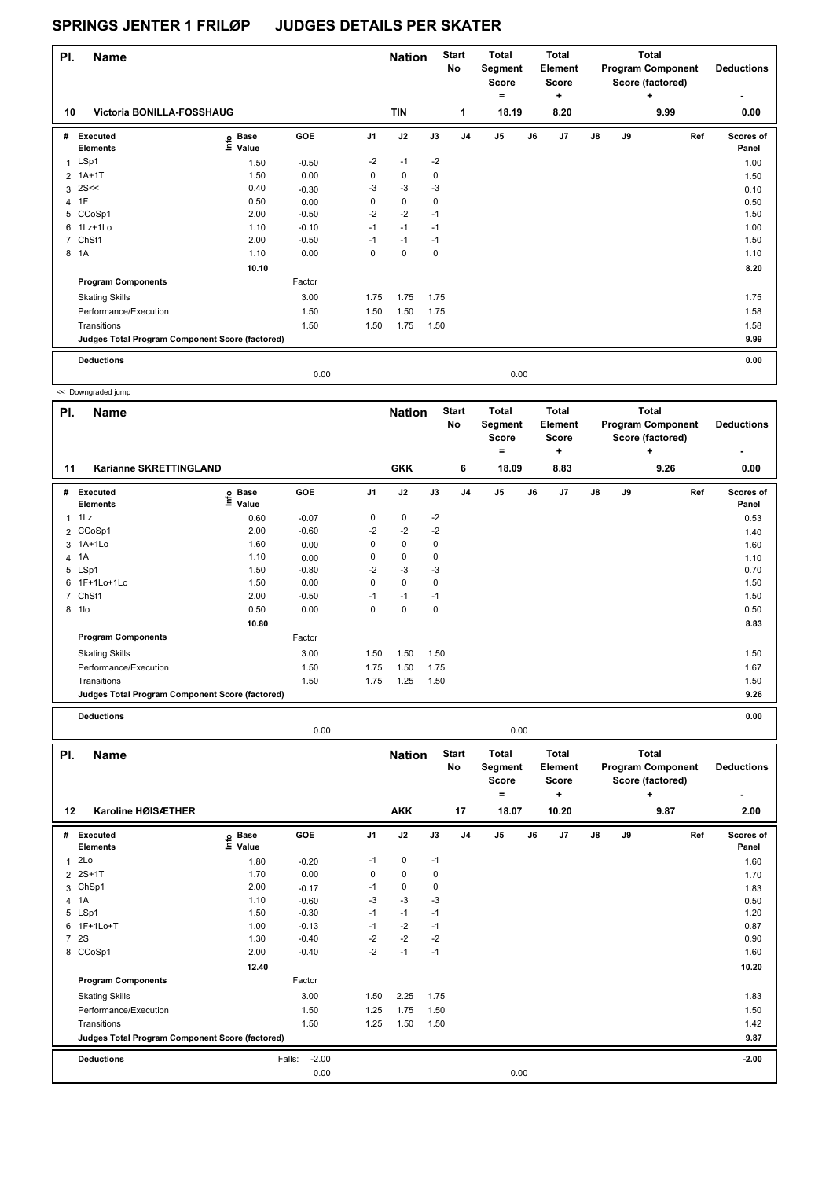| PI. | <b>Name</b>                                     |                   |         |          | <b>Nation</b> |             | <b>Start</b><br>No | <b>Total</b><br>Segment<br><b>Score</b><br>۰ |      | Total<br>Element<br><b>Score</b><br>٠ |               |    | Total<br><b>Program Component</b><br>Score (factored)<br>٠ | <b>Deductions</b>  |
|-----|-------------------------------------------------|-------------------|---------|----------|---------------|-------------|--------------------|----------------------------------------------|------|---------------------------------------|---------------|----|------------------------------------------------------------|--------------------|
| 10  | Victoria BONILLA-FOSSHAUG                       |                   |         |          | <b>TIN</b>    |             | 1                  | 18.19                                        |      | 8.20                                  |               |    | 9.99                                                       | 0.00               |
| #   | Executed<br><b>Elements</b>                     | e Base<br>E Value | GOE     | J1       | J2            | J3          | J <sub>4</sub>     | J5                                           | J6   | J <sub>7</sub>                        | $\mathsf{J}8$ | J9 | Ref                                                        | Scores of<br>Panel |
| 1   | LSp1                                            | 1.50              | $-0.50$ | $-2$     | $-1$          | $-2$        |                    |                                              |      |                                       |               |    |                                                            | 1.00               |
|     | 2 1A+1T                                         | 1.50              | 0.00    | 0        | $\mathbf 0$   | $\mathbf 0$ |                    |                                              |      |                                       |               |    |                                                            | 1.50               |
|     | $3$ 2S <<                                       | 0.40              | $-0.30$ | $-3$     | $-3$          | $-3$        |                    |                                              |      |                                       |               |    |                                                            | 0.10               |
|     | 4 1F                                            | 0.50              | 0.00    | 0        | $\mathbf 0$   | $\mathbf 0$ |                    |                                              |      |                                       |               |    |                                                            | 0.50               |
|     | 5 CCoSp1                                        | 2.00              | $-0.50$ | $-2$     | $-2$          | $-1$        |                    |                                              |      |                                       |               |    |                                                            | 1.50               |
|     | 6 1Lz+1Lo                                       | 1.10              | $-0.10$ | $-1$     | $-1$          | $-1$        |                    |                                              |      |                                       |               |    |                                                            | 1.00               |
|     | 7 ChSt1                                         | 2.00              | $-0.50$ | $-1$     | $-1$          | $-1$        |                    |                                              |      |                                       |               |    |                                                            | 1.50               |
|     | 8 1A                                            | 1.10              | 0.00    | $\Omega$ | $\Omega$      | $\mathbf 0$ |                    |                                              |      |                                       |               |    |                                                            | 1.10               |
|     |                                                 | 10.10             |         |          |               |             |                    |                                              |      |                                       |               |    |                                                            | 8.20               |
|     | <b>Program Components</b>                       |                   | Factor  |          |               |             |                    |                                              |      |                                       |               |    |                                                            |                    |
|     | <b>Skating Skills</b>                           |                   | 3.00    | 1.75     | 1.75          | 1.75        |                    |                                              |      |                                       |               |    |                                                            | 1.75               |
|     | Performance/Execution                           |                   | 1.50    | 1.50     | 1.50          | 1.75        |                    |                                              |      |                                       |               |    |                                                            | 1.58               |
|     | Transitions                                     |                   | 1.50    | 1.50     | 1.75          | 1.50        |                    |                                              |      |                                       |               |    |                                                            | 1.58               |
|     | Judges Total Program Component Score (factored) |                   |         |          |               |             |                    |                                              |      |                                       |               |    |                                                            | 9.99               |
|     | <b>Deductions</b>                               |                   |         |          |               |             |                    |                                              |      |                                       |               |    |                                                            | 0.00               |
|     |                                                 |                   | 0.00    |          |               |             |                    |                                              | 0.00 |                                       |               |    |                                                            |                    |

|                | << Downgraded jump                              |                              |         |                |               |      |                    |                                              |    |                                       |    |    |                                                                   |                    |
|----------------|-------------------------------------------------|------------------------------|---------|----------------|---------------|------|--------------------|----------------------------------------------|----|---------------------------------------|----|----|-------------------------------------------------------------------|--------------------|
| PI.            | <b>Name</b>                                     |                              |         |                | <b>Nation</b> |      | <b>Start</b><br>No | <b>Total</b><br>Segment<br><b>Score</b><br>٠ |    | Total<br>Element<br><b>Score</b><br>٠ |    |    | <b>Total</b><br><b>Program Component</b><br>Score (factored)<br>٠ | <b>Deductions</b>  |
| 11             | Karianne SKRETTINGLAND                          |                              |         |                | <b>GKK</b>    |      | 6                  | 18.09                                        |    | 8.83                                  |    |    | 9.26                                                              | 0.00               |
| #              | <b>Executed</b><br><b>Elements</b>              | <b>Base</b><br>١nf٥<br>Value | GOE     | J <sub>1</sub> | J2            | J3   | J <sub>4</sub>     | J <sub>5</sub>                               | J6 | J7                                    | J8 | J9 | Ref                                                               | Scores of<br>Panel |
| 1              | 1Lz                                             | 0.60                         | $-0.07$ | 0              | 0             | $-2$ |                    |                                              |    |                                       |    |    |                                                                   | 0.53               |
|                | 2 CCoSp1                                        | 2.00                         | $-0.60$ | $-2$           | $-2$          | $-2$ |                    |                                              |    |                                       |    |    |                                                                   | 1.40               |
|                | 3 1A+1Lo                                        | 1.60                         | 0.00    | 0              | 0             | 0    |                    |                                              |    |                                       |    |    |                                                                   | 1.60               |
|                | 4 1A                                            | 1.10                         | 0.00    | 0              | 0             | 0    |                    |                                              |    |                                       |    |    |                                                                   | 1.10               |
|                | 5 LSp1                                          | 1.50                         | $-0.80$ | $-2$           | $-3$          | -3   |                    |                                              |    |                                       |    |    |                                                                   | 0.70               |
|                | 6 1F+1Lo+1Lo                                    | 1.50                         | 0.00    | 0              | $\mathbf 0$   | 0    |                    |                                              |    |                                       |    |    |                                                                   | 1.50               |
| $\overline{7}$ | ChSt1                                           | 2.00                         | $-0.50$ | $-1$           | $-1$          | $-1$ |                    |                                              |    |                                       |    |    |                                                                   | 1.50               |
| 8              | 1lo                                             | 0.50                         | 0.00    | 0              | $\mathbf 0$   | 0    |                    |                                              |    |                                       |    |    |                                                                   | 0.50               |
|                |                                                 | 10.80                        |         |                |               |      |                    |                                              |    |                                       |    |    |                                                                   | 8.83               |
|                | <b>Program Components</b>                       |                              | Factor  |                |               |      |                    |                                              |    |                                       |    |    |                                                                   |                    |
|                | <b>Skating Skills</b>                           |                              | 3.00    | 1.50           | 1.50          | 1.50 |                    |                                              |    |                                       |    |    |                                                                   | 1.50               |
|                | Performance/Execution                           |                              | 1.50    | 1.75           | 1.50          | 1.75 |                    |                                              |    |                                       |    |    |                                                                   | 1.67               |
|                | Transitions                                     |                              | 1.50    | 1.75           | 1.25          | 1.50 |                    |                                              |    |                                       |    |    |                                                                   | 1.50               |
|                | Judges Total Program Component Score (factored) |                              |         |                |               |      |                    |                                              |    |                                       |    |    |                                                                   | 9.26               |
|                | <b>Deductions</b>                               |                              |         |                |               |      |                    |                                              |    |                                       |    |    |                                                                   | 0.00               |

| PI.          | <b>Name</b>                                     |                            |                   |                | <b>Nation</b> |      | <b>Start</b><br>No | Total<br>Segment<br>Score |      | Total<br>Element<br><b>Score</b> |               |    | Total<br><b>Program Component</b><br>Score (factored) | <b>Deductions</b>  |
|--------------|-------------------------------------------------|----------------------------|-------------------|----------------|---------------|------|--------------------|---------------------------|------|----------------------------------|---------------|----|-------------------------------------------------------|--------------------|
|              |                                                 |                            |                   |                |               |      |                    | =                         |      | ٠                                |               |    | ÷                                                     |                    |
| 12           | Karoline HØISÆTHER                              |                            |                   |                | <b>AKK</b>    |      | 17                 | 18.07                     |      | 10.20                            |               |    | 9.87                                                  | 2.00               |
| #            | <b>Executed</b><br><b>Elements</b>              | e Base<br>⊆ Value<br>Value | GOE               | J <sub>1</sub> | J2            | J3   | J <sub>4</sub>     | J5                        | J6   | J7                               | $\mathsf{J}8$ | J9 | Ref                                                   | Scores of<br>Panel |
| $\mathbf{1}$ | 2Lo                                             | 1.80                       | $-0.20$           | $-1$           | 0             | $-1$ |                    |                           |      |                                  |               |    |                                                       | 1.60               |
|              | 2 2S+1T                                         | 1.70                       | 0.00              | 0              | $\mathbf 0$   | 0    |                    |                           |      |                                  |               |    |                                                       | 1.70               |
|              | 3 ChSp1                                         | 2.00                       | $-0.17$           | $-1$           | 0             | 0    |                    |                           |      |                                  |               |    |                                                       | 1.83               |
|              | 4 1A                                            | 1.10                       | $-0.60$           | -3             | $-3$          | -3   |                    |                           |      |                                  |               |    |                                                       | 0.50               |
|              | 5 LSp1                                          | 1.50                       | $-0.30$           | $-1$           | $-1$          | $-1$ |                    |                           |      |                                  |               |    |                                                       | 1.20               |
|              | 6 1F+1Lo+T                                      | 1.00                       | $-0.13$           | $-1$           | $-2$          | $-1$ |                    |                           |      |                                  |               |    |                                                       | 0.87               |
|              | 7 2S                                            | 1.30                       | $-0.40$           | $-2$           | $-2$          | $-2$ |                    |                           |      |                                  |               |    |                                                       | 0.90               |
|              | 8 CCoSp1                                        | 2.00                       | $-0.40$           | $-2$           | $-1$          | $-1$ |                    |                           |      |                                  |               |    |                                                       | 1.60               |
|              |                                                 | 12.40                      |                   |                |               |      |                    |                           |      |                                  |               |    |                                                       | 10.20              |
|              | <b>Program Components</b>                       |                            | Factor            |                |               |      |                    |                           |      |                                  |               |    |                                                       |                    |
|              | <b>Skating Skills</b>                           |                            | 3.00              | 1.50           | 2.25          | 1.75 |                    |                           |      |                                  |               |    |                                                       | 1.83               |
|              | Performance/Execution                           |                            | 1.50              | 1.25           | 1.75          | 1.50 |                    |                           |      |                                  |               |    |                                                       | 1.50               |
|              | Transitions                                     |                            | 1.50              | 1.25           | 1.50          | 1.50 |                    |                           |      |                                  |               |    |                                                       | 1.42               |
|              | Judges Total Program Component Score (factored) |                            |                   |                |               |      |                    |                           |      |                                  |               |    |                                                       | 9.87               |
|              | <b>Deductions</b>                               |                            | $-2.00$<br>Falls: |                |               |      |                    |                           |      |                                  |               |    |                                                       | $-2.00$            |
|              |                                                 |                            | 0.00              |                |               |      |                    |                           | 0.00 |                                  |               |    |                                                       |                    |

0.00 0.00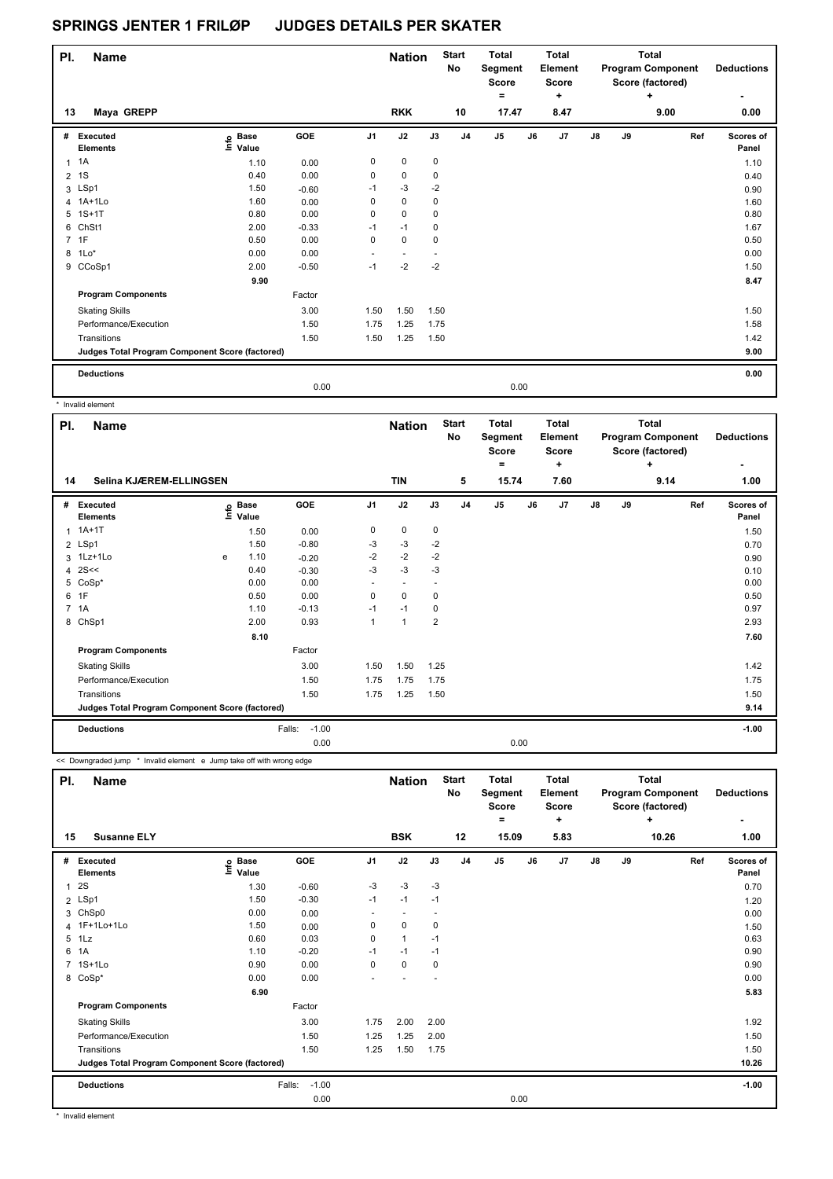| PI.            | <b>Name</b>                                     |                            |         |                | <b>Nation</b>            |             | <b>Start</b><br>No | <b>Total</b><br>Segment<br><b>Score</b><br>$\equiv$ |    | <b>Total</b><br>Element<br><b>Score</b><br>÷ |               |    | <b>Total</b><br><b>Program Component</b><br>Score (factored) | <b>Deductions</b>  |
|----------------|-------------------------------------------------|----------------------------|---------|----------------|--------------------------|-------------|--------------------|-----------------------------------------------------|----|----------------------------------------------|---------------|----|--------------------------------------------------------------|--------------------|
| 13             | Maya GREPP                                      |                            |         |                | <b>RKK</b>               |             | 10                 | 17.47                                               |    | 8.47                                         |               |    | 9.00                                                         | 0.00               |
| #              | Executed<br><b>Elements</b>                     | e Base<br>E Value<br>Value | GOE     | J <sub>1</sub> | J2                       | J3          | J <sub>4</sub>     | J <sub>5</sub>                                      | J6 | J7                                           | $\mathsf{J}8$ | J9 | Ref                                                          | Scores of<br>Panel |
| 1              | 1A                                              | 1.10                       | 0.00    | 0              | 0                        | 0           |                    |                                                     |    |                                              |               |    |                                                              | 1.10               |
| $\overline{2}$ | 1S                                              | 0.40                       | 0.00    | 0              | $\pmb{0}$                | 0           |                    |                                                     |    |                                              |               |    |                                                              | 0.40               |
|                | 3 LSp1                                          | 1.50                       | $-0.60$ | $-1$           | $-3$                     | $-2$        |                    |                                                     |    |                                              |               |    |                                                              | 0.90               |
|                | 4 1A+1Lo                                        | 1.60                       | 0.00    | 0              | 0                        | 0           |                    |                                                     |    |                                              |               |    |                                                              | 1.60               |
|                | 5 1S+1T                                         | 0.80                       | 0.00    | 0              | $\mathbf 0$              | 0           |                    |                                                     |    |                                              |               |    |                                                              | 0.80               |
|                | 6 ChSt1                                         | 2.00                       | $-0.33$ | $-1$           | $-1$                     | 0           |                    |                                                     |    |                                              |               |    |                                                              | 1.67               |
|                | 7 1F                                            | 0.50                       | 0.00    | $\mathbf 0$    | $\mathbf 0$              | $\mathbf 0$ |                    |                                                     |    |                                              |               |    |                                                              | 0.50               |
|                | 8 1Lo*                                          | 0.00                       | 0.00    | $\sim$         | $\overline{\phantom{a}}$ |             |                    |                                                     |    |                                              |               |    |                                                              | 0.00               |
|                | 9 CCoSp1                                        | 2.00                       | $-0.50$ | $-1$           | $-2$                     | $-2$        |                    |                                                     |    |                                              |               |    |                                                              | 1.50               |
|                |                                                 | 9.90                       |         |                |                          |             |                    |                                                     |    |                                              |               |    |                                                              | 8.47               |
|                | <b>Program Components</b>                       |                            | Factor  |                |                          |             |                    |                                                     |    |                                              |               |    |                                                              |                    |
|                | <b>Skating Skills</b>                           |                            | 3.00    | 1.50           | 1.50                     | 1.50        |                    |                                                     |    |                                              |               |    |                                                              | 1.50               |
|                | Performance/Execution                           |                            | 1.50    | 1.75           | 1.25                     | 1.75        |                    |                                                     |    |                                              |               |    |                                                              | 1.58               |
|                | Transitions                                     |                            | 1.50    | 1.50           | 1.25                     | 1.50        |                    |                                                     |    |                                              |               |    |                                                              | 1.42               |
|                | Judges Total Program Component Score (factored) |                            |         |                |                          |             |                    |                                                     |    |                                              |               |    |                                                              | 9.00               |
|                | <b>Deductions</b>                               |                            |         |                |                          |             |                    |                                                     |    |                                              |               |    |                                                              | 0.00               |
|                |                                                 |                            | 0.00    |                |                          |             |                    | 0.00                                                |    |                                              |               |    |                                                              |                    |

\* Invalid element

L

| PI.                                             | Name                        |   |                                  |                   |                | <b>Nation</b>            |                          | <b>Start</b><br>No | <b>Total</b><br>Segment<br><b>Score</b><br>۰ |      | <b>Total</b><br><b>Element</b><br><b>Score</b><br>٠ |               |    | <b>Total</b><br><b>Program Component</b><br>Score (factored)<br>÷ | <b>Deductions</b>  |
|-------------------------------------------------|-----------------------------|---|----------------------------------|-------------------|----------------|--------------------------|--------------------------|--------------------|----------------------------------------------|------|-----------------------------------------------------|---------------|----|-------------------------------------------------------------------|--------------------|
| Selina KJÆREM-ELLINGSEN<br>14                   |                             |   |                                  |                   |                | <b>TIN</b>               |                          | 5                  | 15.74                                        |      | 7.60                                                |               |    | 9.14                                                              | 1.00               |
| #                                               | Executed<br><b>Elements</b> |   | <b>Base</b><br>e Base<br>⊆ Value | <b>GOE</b>        | J <sub>1</sub> | J2                       | J3                       | J <sub>4</sub>     | J <sub>5</sub>                               | J6   | J7                                                  | $\mathsf{J}8$ | J9 | Ref                                                               | Scores of<br>Panel |
| $\mathbf{1}$                                    | $1A+1T$                     |   | 1.50                             | 0.00              | 0              | $\mathbf 0$              | 0                        |                    |                                              |      |                                                     |               |    |                                                                   | 1.50               |
|                                                 | 2 LSp1                      |   | 1.50                             | $-0.80$           | -3             | $-3$                     | $-2$                     |                    |                                              |      |                                                     |               |    |                                                                   | 0.70               |
|                                                 | 3 1Lz+1Lo                   | e | 1.10                             | $-0.20$           | $-2$           | $-2$                     | $-2$                     |                    |                                              |      |                                                     |               |    |                                                                   | 0.90               |
|                                                 | 4 $2S<<$                    |   | 0.40                             | $-0.30$           | $-3$           | $-3$                     | $-3$                     |                    |                                              |      |                                                     |               |    |                                                                   | 0.10               |
|                                                 | 5 CoSp*                     |   | 0.00                             | 0.00              | ٠              | $\overline{\phantom{a}}$ | $\overline{\phantom{a}}$ |                    |                                              |      |                                                     |               |    |                                                                   | 0.00               |
|                                                 | 6 1F                        |   | 0.50                             | 0.00              | $\Omega$       | $\Omega$                 | 0                        |                    |                                              |      |                                                     |               |    |                                                                   | 0.50               |
| $\overline{7}$                                  | 1A                          |   | 1.10                             | $-0.13$           | $-1$           | $-1$                     | 0                        |                    |                                              |      |                                                     |               |    |                                                                   | 0.97               |
| 8                                               | ChSp1                       |   | 2.00                             | 0.93              | 1              | $\overline{1}$           | $\overline{2}$           |                    |                                              |      |                                                     |               |    |                                                                   | 2.93               |
|                                                 |                             |   | 8.10                             |                   |                |                          |                          |                    |                                              |      |                                                     |               |    |                                                                   | 7.60               |
|                                                 | <b>Program Components</b>   |   |                                  | Factor            |                |                          |                          |                    |                                              |      |                                                     |               |    |                                                                   |                    |
|                                                 | <b>Skating Skills</b>       |   |                                  | 3.00              | 1.50           | 1.50                     | 1.25                     |                    |                                              |      |                                                     |               |    |                                                                   | 1.42               |
|                                                 | Performance/Execution       |   |                                  | 1.50              | 1.75           | 1.75                     | 1.75                     |                    |                                              |      |                                                     |               |    |                                                                   | 1.75               |
|                                                 | Transitions                 |   |                                  | 1.50              | 1.75           | 1.25                     | 1.50                     |                    |                                              |      |                                                     |               |    |                                                                   | 1.50               |
| Judges Total Program Component Score (factored) |                             |   |                                  |                   |                |                          |                          |                    |                                              |      |                                                     |               |    |                                                                   | 9.14               |
|                                                 | <b>Deductions</b>           |   |                                  | $-1.00$<br>Falls: |                |                          |                          |                    |                                              |      |                                                     |               |    |                                                                   | $-1.00$            |
|                                                 |                             |   |                                  | 0.00              |                |                          |                          |                    |                                              | 0.00 |                                                     |               |    |                                                                   |                    |

<< Downgraded jump \* Invalid element e Jump take off with wrong edge

| PI.                                             | <b>Name</b>                        |                                |                   |                | <b>Nation</b>            |                          | <b>Start</b><br>No | <b>Total</b><br>Segment<br><b>Score</b><br>۰ |    | Total<br><b>Element</b><br><b>Score</b><br>٠ |               |    | <b>Total</b><br><b>Program Component</b><br>Score (factored)<br>÷ | <b>Deductions</b><br>٠ |
|-------------------------------------------------|------------------------------------|--------------------------------|-------------------|----------------|--------------------------|--------------------------|--------------------|----------------------------------------------|----|----------------------------------------------|---------------|----|-------------------------------------------------------------------|------------------------|
| 15                                              | <b>Susanne ELY</b>                 |                                |                   |                | <b>BSK</b>               |                          | 12                 | 15.09                                        |    | 5.83                                         |               |    | 10.26                                                             | 1.00                   |
| #                                               | <b>Executed</b><br><b>Elements</b> | $E$ Base<br>$E$ Value<br>Value | <b>GOE</b>        | J <sub>1</sub> | J2                       | J3                       | J <sub>4</sub>     | J <sub>5</sub>                               | J6 | J7                                           | $\mathsf{J}8$ | J9 | Ref                                                               | Scores of<br>Panel     |
| $\mathbf{1}$                                    | 2S                                 | 1.30                           | $-0.60$           | -3             | -3                       | $-3$                     |                    |                                              |    |                                              |               |    |                                                                   | 0.70                   |
|                                                 | 2 LSp1                             | 1.50                           | $-0.30$           | $-1$           | $-1$                     | $-1$                     |                    |                                              |    |                                              |               |    |                                                                   | 1.20                   |
| 3                                               | ChSp0                              | 0.00                           | 0.00              |                | $\overline{\phantom{0}}$ |                          |                    |                                              |    |                                              |               |    |                                                                   | 0.00                   |
|                                                 | 4 1F+1Lo+1Lo                       | 1.50                           | 0.00              | 0              | $\mathbf 0$              | 0                        |                    |                                              |    |                                              |               |    |                                                                   | 1.50                   |
| 5                                               | 1Lz                                | 0.60                           | 0.03              | 0              | $\mathbf{1}$             | $-1$                     |                    |                                              |    |                                              |               |    |                                                                   | 0.63                   |
| 6                                               | 1A                                 | 1.10                           | $-0.20$           | $-1$           | $-1$                     | $-1$                     |                    |                                              |    |                                              |               |    |                                                                   | 0.90                   |
|                                                 | 7 1S+1Lo                           | 0.90                           | 0.00              | 0              | $\pmb{0}$                | 0                        |                    |                                              |    |                                              |               |    |                                                                   | 0.90                   |
| 8                                               | $CoSp*$                            | 0.00                           | 0.00              | ٠              |                          | $\overline{\phantom{a}}$ |                    |                                              |    |                                              |               |    |                                                                   | 0.00                   |
|                                                 |                                    | 6.90                           |                   |                |                          |                          |                    |                                              |    |                                              |               |    |                                                                   | 5.83                   |
|                                                 | <b>Program Components</b>          |                                | Factor            |                |                          |                          |                    |                                              |    |                                              |               |    |                                                                   |                        |
|                                                 | <b>Skating Skills</b>              |                                | 3.00              | 1.75           | 2.00                     | 2.00                     |                    |                                              |    |                                              |               |    |                                                                   | 1.92                   |
|                                                 | Performance/Execution              |                                | 1.50              | 1.25           | 1.25                     | 2.00                     |                    |                                              |    |                                              |               |    |                                                                   | 1.50                   |
|                                                 | Transitions                        |                                | 1.50              | 1.25           | 1.50                     | 1.75                     |                    |                                              |    |                                              |               |    |                                                                   | 1.50                   |
| Judges Total Program Component Score (factored) |                                    |                                |                   |                |                          |                          |                    |                                              |    |                                              |               |    |                                                                   | 10.26                  |
|                                                 | <b>Deductions</b>                  |                                | Falls:<br>$-1.00$ |                |                          |                          |                    |                                              |    |                                              |               |    |                                                                   | $-1.00$                |
|                                                 |                                    |                                | 0.00              |                |                          |                          |                    | 0.00                                         |    |                                              |               |    |                                                                   |                        |

\* Invalid element